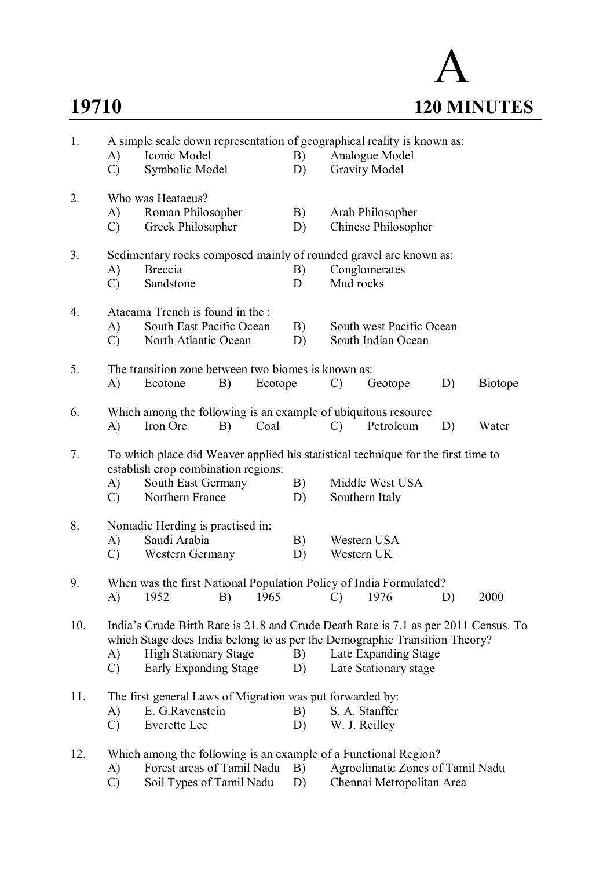# A **19710 120 MINUTES**

| 1.  | A)                  | A simple scale down representation of geographical reality is known as:<br>Iconic Model<br>Symbolic Model                                                                                                                  |    |          | B)                                             |                                                                                                 | Analogue Model                                |    |                |
|-----|---------------------|----------------------------------------------------------------------------------------------------------------------------------------------------------------------------------------------------------------------------|----|----------|------------------------------------------------|-------------------------------------------------------------------------------------------------|-----------------------------------------------|----|----------------|
|     | $\mathcal{C}$       |                                                                                                                                                                                                                            |    |          | D)                                             |                                                                                                 | <b>Gravity Model</b>                          |    |                |
| 2.  | A)<br>$\mathcal{C}$ | Who was Heataeus?<br>Roman Philosopher<br>Greek Philosopher                                                                                                                                                                |    |          | B)<br>D)                                       |                                                                                                 | Arab Philosopher<br>Chinese Philosopher       |    |                |
| 3.  | A)<br>$\mathcal{C}$ | <b>Breccia</b><br>Sandstone                                                                                                                                                                                                |    |          | B)<br>D                                        | Sedimentary rocks composed mainly of rounded gravel are known as:<br>Conglomerates<br>Mud rocks |                                               |    |                |
| 4.  | A)<br>$\mathcal{C}$ | Atacama Trench is found in the :<br>South East Pacific Ocean<br>North Atlantic Ocean                                                                                                                                       |    | B)<br>D) | South west Pacific Ocean<br>South Indian Ocean |                                                                                                 |                                               |    |                |
| 5.  | A)                  | The transition zone between two biomes is known as:<br>Ecotone                                                                                                                                                             | B) | Ecotope  |                                                | $\mathcal{C}$                                                                                   | Geotope                                       | D) | <b>Biotope</b> |
| 6.  | A)                  | Which among the following is an example of ubiquitous resource<br>Iron Ore                                                                                                                                                 | B) | Coal     |                                                | $\mathcal{C}$                                                                                   | Petroleum                                     | D) | Water          |
| 7.  | A)<br>$\mathcal{C}$ | To which place did Weaver applied his statistical technique for the first time to<br>establish crop combination regions:<br>South East Germany<br>Northern France                                                          |    |          | B)<br>D)                                       |                                                                                                 | Middle West USA<br>Southern Italy             |    |                |
| 8.  | A)<br>$\mathcal{C}$ | Nomadic Herding is practised in:<br>Saudi Arabia<br>Western Germany                                                                                                                                                        |    |          | B)<br>D)                                       |                                                                                                 | Western USA<br>Western UK                     |    |                |
| 9.  | A)                  | When was the first National Population Policy of India Formulated?<br><b>B</b> )<br>1952                                                                                                                                   |    | 1965     |                                                | $\overline{C}$                                                                                  | 1976                                          | D) | 2000           |
| 10. | A)<br>$\mathcal{C}$ | India's Crude Birth Rate is 21.8 and Crude Death Rate is 7.1 as per 2011 Census. To<br>which Stage does India belong to as per the Demographic Transition Theory?<br><b>High Stationary Stage</b><br>Early Expanding Stage |    |          | B)<br>D)                                       |                                                                                                 | Late Expanding Stage<br>Late Stationary stage |    |                |
| 11. | A)<br>$\mathcal{C}$ | The first general Laws of Migration was put forwarded by:<br>E. G.Ravenstein<br>Everette Lee                                                                                                                               |    |          | B)<br>D)                                       |                                                                                                 | S. A. Stanffer<br>W. J. Reilley               |    |                |
| 12. | A)                  | Which among the following is an example of a Functional Region?<br>Forest areas of Tamil Nadu B)                                                                                                                           |    |          |                                                |                                                                                                 | Agroclimatic Zones of Tamil Nadu              |    |                |

C) Soil Types of Tamil Nadu D) Chennai Metropolitan Area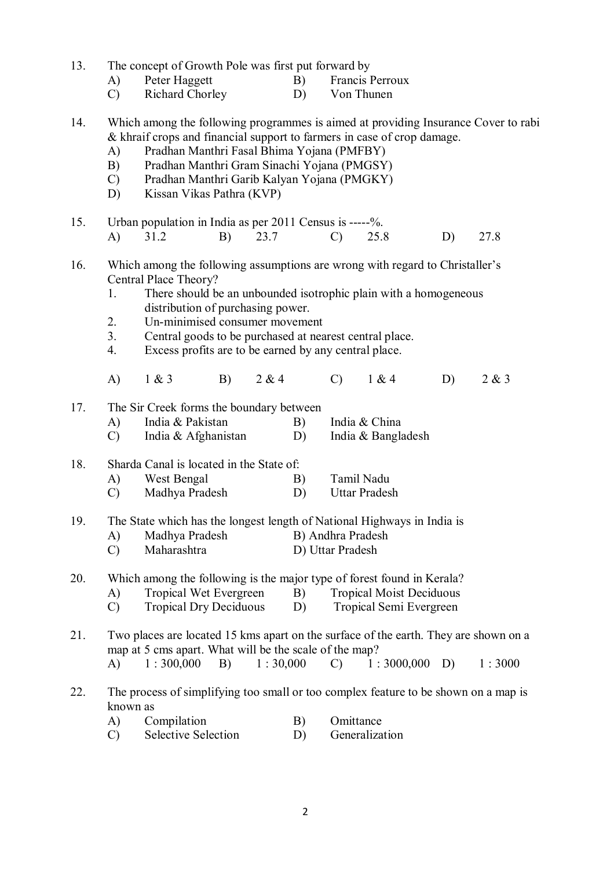| 13. |                                                                                                             | The concept of Growth Pole was first put forward by                                  |    |          |                            |                   |                                 |    |        |  |  |  |
|-----|-------------------------------------------------------------------------------------------------------------|--------------------------------------------------------------------------------------|----|----------|----------------------------|-------------------|---------------------------------|----|--------|--|--|--|
|     | A)                                                                                                          | Peter Haggett                                                                        |    |          | B)                         |                   | Francis Perroux                 |    |        |  |  |  |
|     | $\mathcal{C}$                                                                                               | Richard Chorley                                                                      |    |          | D)                         |                   | Von Thunen                      |    |        |  |  |  |
| 14. |                                                                                                             | Which among the following programmes is aimed at providing Insurance Cover to rabi   |    |          |                            |                   |                                 |    |        |  |  |  |
|     |                                                                                                             | & khraif crops and financial support to farmers in case of crop damage.              |    |          |                            |                   |                                 |    |        |  |  |  |
|     | A)                                                                                                          | Pradhan Manthri Fasal Bhima Yojana (PMFBY)                                           |    |          |                            |                   |                                 |    |        |  |  |  |
|     | B)                                                                                                          | Pradhan Manthri Gram Sinachi Yojana (PMGSY)                                          |    |          |                            |                   |                                 |    |        |  |  |  |
|     | $\mathcal{C}$                                                                                               | Pradhan Manthri Garib Kalyan Yojana (PMGKY)                                          |    |          |                            |                   |                                 |    |        |  |  |  |
|     | D)                                                                                                          | Kissan Vikas Pathra (KVP)                                                            |    |          |                            |                   |                                 |    |        |  |  |  |
| 15. |                                                                                                             | Urban population in India as per 2011 Census is -----%.                              |    |          |                            |                   |                                 |    |        |  |  |  |
|     | A)                                                                                                          | 31.2                                                                                 | B) | 23.7     |                            | $\mathcal{C}$     | 25.8                            | D) | 27.8   |  |  |  |
| 16. |                                                                                                             | Which among the following assumptions are wrong with regard to Christaller's         |    |          |                            |                   |                                 |    |        |  |  |  |
|     |                                                                                                             | Central Place Theory?                                                                |    |          |                            |                   |                                 |    |        |  |  |  |
|     | There should be an unbounded isotrophic plain with a homogeneous<br>1.<br>distribution of purchasing power. |                                                                                      |    |          |                            |                   |                                 |    |        |  |  |  |
|     | 2.                                                                                                          | Un-minimised consumer movement                                                       |    |          |                            |                   |                                 |    |        |  |  |  |
|     | 3 <sub>1</sub>                                                                                              | Central goods to be purchased at nearest central place.                              |    |          |                            |                   |                                 |    |        |  |  |  |
|     | 4.                                                                                                          | Excess profits are to be earned by any central place.                                |    |          |                            |                   |                                 |    |        |  |  |  |
|     |                                                                                                             |                                                                                      |    |          |                            |                   |                                 |    |        |  |  |  |
|     | A)                                                                                                          | 1 & 3                                                                                | B) | 2 & 4    |                            | $\mathcal{C}$     | 1 & 4                           | D) | 2 & 3  |  |  |  |
| 17. | The Sir Creek forms the boundary between                                                                    |                                                                                      |    |          |                            |                   |                                 |    |        |  |  |  |
|     | A)                                                                                                          | India & Pakistan                                                                     |    |          | B)                         |                   | India & China                   |    |        |  |  |  |
|     | $\mathcal{C}$                                                                                               | India & Afghanistan                                                                  |    |          | D)                         |                   | India & Bangladesh              |    |        |  |  |  |
| 18. | Sharda Canal is located in the State of:                                                                    |                                                                                      |    |          |                            |                   |                                 |    |        |  |  |  |
|     | A)                                                                                                          | West Bengal                                                                          |    |          | B)                         |                   | Tamil Nadu                      |    |        |  |  |  |
|     | $\mathcal{C}$                                                                                               | Madhya Pradesh                                                                       |    |          | <b>Uttar Pradesh</b><br>D) |                   |                                 |    |        |  |  |  |
| 19. |                                                                                                             | The State which has the longest length of National Highways in India is              |    |          |                            |                   |                                 |    |        |  |  |  |
|     | A)                                                                                                          | Madhya Pradesh                                                                       |    |          |                            | B) Andhra Pradesh |                                 |    |        |  |  |  |
|     | $\mathcal{C}$                                                                                               | Maharashtra                                                                          |    |          |                            | D) Uttar Pradesh  |                                 |    |        |  |  |  |
| 20. |                                                                                                             | Which among the following is the major type of forest found in Kerala?               |    |          |                            |                   |                                 |    |        |  |  |  |
|     | A)                                                                                                          | Tropical Wet Evergreen                                                               |    |          | B)                         |                   | <b>Tropical Moist Deciduous</b> |    |        |  |  |  |
|     | $\mathcal{C}$                                                                                               | <b>Tropical Dry Deciduous</b>                                                        |    |          | D)                         |                   | Tropical Semi Evergreen         |    |        |  |  |  |
| 21. |                                                                                                             | Two places are located 15 kms apart on the surface of the earth. They are shown on a |    |          |                            |                   |                                 |    |        |  |  |  |
|     |                                                                                                             | map at 5 cms apart. What will be the scale of the map?                               |    |          |                            |                   |                                 |    |        |  |  |  |
|     | A)                                                                                                          | 1:300,000                                                                            | B) | 1:30,000 |                            | $\mathcal{C}$     | $1:3000,000$ D)                 |    | 1:3000 |  |  |  |
| 22. | known as                                                                                                    | The process of simplifying too small or too complex feature to be shown on a map is  |    |          |                            |                   |                                 |    |        |  |  |  |
|     | A)                                                                                                          | Compilation                                                                          |    |          | Omittance<br>B)            |                   |                                 |    |        |  |  |  |
|     |                                                                                                             |                                                                                      |    |          |                            |                   |                                 |    |        |  |  |  |

C) Selective Selection D) Generalization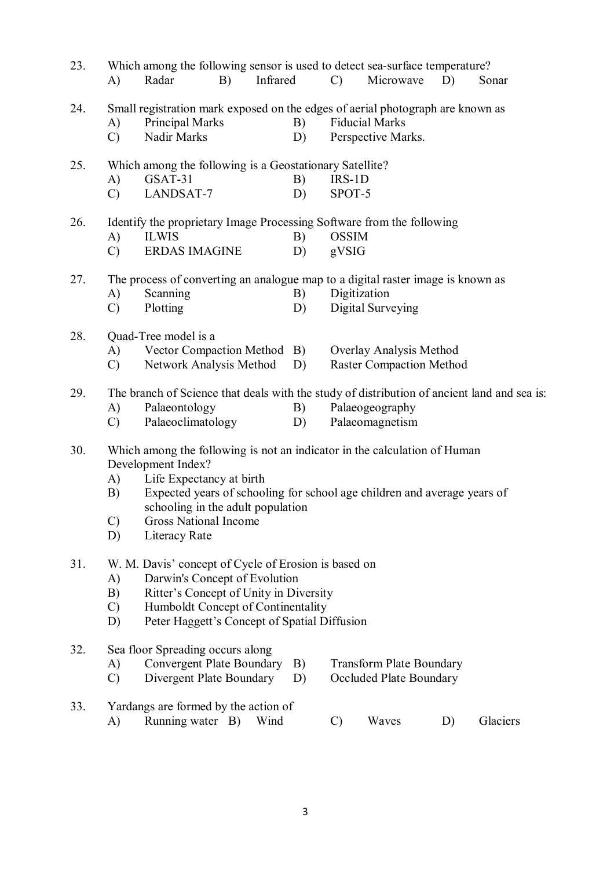| Which among the following sensor is used to detect sea-surface temperature?<br>23. |                                                                                                                                                                                            |                                                                                                                                                                                                                       |                                                                  |          |          |                       |                                                                          |    |                                                                                             |  |  |
|------------------------------------------------------------------------------------|--------------------------------------------------------------------------------------------------------------------------------------------------------------------------------------------|-----------------------------------------------------------------------------------------------------------------------------------------------------------------------------------------------------------------------|------------------------------------------------------------------|----------|----------|-----------------------|--------------------------------------------------------------------------|----|---------------------------------------------------------------------------------------------|--|--|
|                                                                                    | A)                                                                                                                                                                                         | Radar                                                                                                                                                                                                                 | B)                                                               | Infrared |          | $\mathcal{C}$         | Microwave                                                                | D) | Sonar                                                                                       |  |  |
| 24.                                                                                | A)<br>$\mathcal{C}$                                                                                                                                                                        | Small registration mark exposed on the edges of aerial photograph are known as<br>Principal Marks<br>Nadir Marks                                                                                                      |                                                                  |          | B)<br>D) |                       | <b>Fiducial Marks</b><br>Perspective Marks.                              |    |                                                                                             |  |  |
| 25.                                                                                | A)<br>$\mathcal{C}$                                                                                                                                                                        | Which among the following is a Geostationary Satellite?<br>GSAT-31<br>LANDSAT-7                                                                                                                                       |                                                                  |          | B)<br>D) | $IRS-1D$<br>SPOT-5    |                                                                          |    |                                                                                             |  |  |
| 26.                                                                                | A)<br>$\mathcal{C}$                                                                                                                                                                        | Identify the proprietary Image Processing Software from the following<br><b>ILWIS</b><br><b>ERDAS IMAGINE</b>                                                                                                         |                                                                  |          | B)<br>D) | <b>OSSIM</b><br>gVSIG |                                                                          |    |                                                                                             |  |  |
| 27.                                                                                | A)<br>$\mathcal{C}$                                                                                                                                                                        | The process of converting an analogue map to a digital raster image is known as<br>Scanning<br>Plotting                                                                                                               |                                                                  |          | B)<br>D) | Digitization          | Digital Surveying                                                        |    |                                                                                             |  |  |
| 28.                                                                                | A)<br>$\mathcal{C}$                                                                                                                                                                        | Quad-Tree model is a<br>Vector Compaction Method B)<br>Network Analysis Method                                                                                                                                        |                                                                  |          | D)       |                       | Overlay Analysis Method<br><b>Raster Compaction Method</b>               |    |                                                                                             |  |  |
| 29.                                                                                | A)<br>$\mathcal{C}$                                                                                                                                                                        | Palaeontology<br>Palaeoclimatology                                                                                                                                                                                    |                                                                  |          | B)<br>D) |                       | Palaeogeography<br>Palaeomagnetism                                       |    | The branch of Science that deals with the study of distribution of ancient land and sea is: |  |  |
| 30.                                                                                | A)<br>B)<br>C)<br>D)                                                                                                                                                                       | Which among the following is not an indicator in the calculation of Human<br>Development Index?<br>Life Expectancy at birth<br>schooling in the adult population<br>Gross National Income<br>Literacy Rate            |                                                                  |          |          |                       | Expected years of schooling for school age children and average years of |    |                                                                                             |  |  |
| 31.                                                                                | A)<br>B)<br>$\mathcal{C}$<br>D)                                                                                                                                                            | W. M. Davis' concept of Cycle of Erosion is based on<br>Darwin's Concept of Evolution<br>Ritter's Concept of Unity in Diversity<br>Humboldt Concept of Continentality<br>Peter Haggett's Concept of Spatial Diffusion |                                                                  |          |          |                       |                                                                          |    |                                                                                             |  |  |
| 32.                                                                                | Sea floor Spreading occurs along<br>Convergent Plate Boundary<br><b>Transform Plate Boundary</b><br>A)<br>B)<br>Divergent Plate Boundary<br>Occluded Plate Boundary<br>$\mathcal{C}$<br>D) |                                                                                                                                                                                                                       |                                                                  |          |          |                       |                                                                          |    |                                                                                             |  |  |
| 33.                                                                                | A)                                                                                                                                                                                         |                                                                                                                                                                                                                       | Yardangs are formed by the action of<br>Running water B)<br>Wind |          |          |                       | Glaciers<br>Waves<br>$\mathcal{C}$<br>D)                                 |    |                                                                                             |  |  |
|                                                                                    |                                                                                                                                                                                            |                                                                                                                                                                                                                       |                                                                  |          |          |                       |                                                                          |    |                                                                                             |  |  |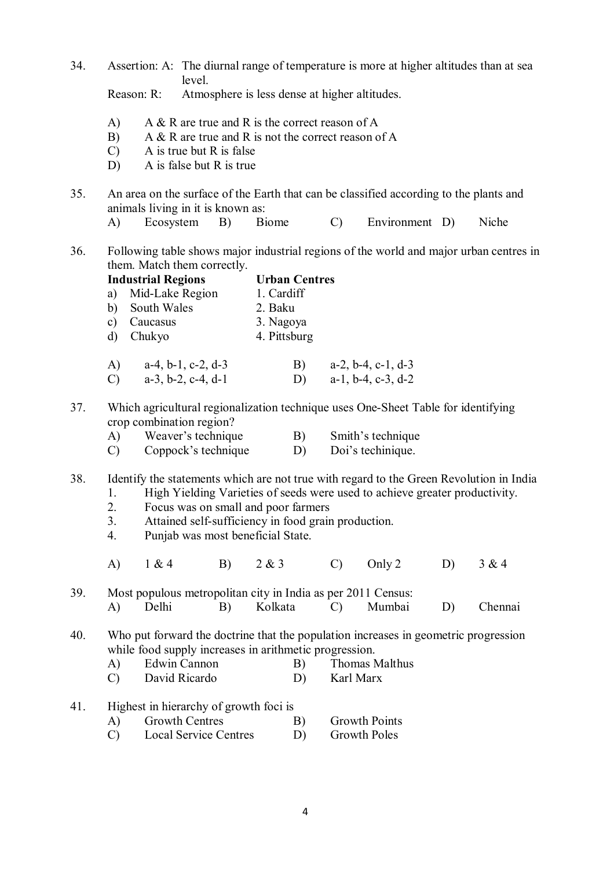34. Assertion: A: The diurnal range of temperature is more at higher altitudes than at sea level.

Reason: R: Atmosphere is less dense at higher altitudes.

A) A & R are true and R is the correct reason of A

**Industrial Regions Urban Centres**

- B) A & R are true and R is not the correct reason of A
- C) A is true but R is false
- D) A is false but R is true
- 35. An area on the surface of the Earth that can be classified according to the plants and animals living in it is known as:
	- A) Ecosystem B) Biome C) Environment D) Niche
- 36. Following table shows major industrial regions of the world and major urban centres in them. Match them correctly.

a) Mid-Lake Region 1. Cardiff b) South Wales 2. Baku c) Caucasus 3. Nagoya d) Chukyo 4. Pittsburg A) a-4, b-1, c-2, d-3 B) a-2, b-4, c-1, d-3<br>C) a-3, b-2, c-4, d-1 D) a-1, b-4, c-3, d-2 C) a-3, b-2, c-4, d-1 D) 37. Which agricultural regionalization technique uses One-Sheet Table for identifying crop combination region? A) Weaver's technique B) Smith's technique C) Coppock's technique D) Doi's technique. 38. Identify the statements which are not true with regard to the Green Revolution in India 1. High Yielding Varieties of seeds were used to achieve greater productivity. 2. Focus was on small and poor farmers 3. Attained self-sufficiency in food grain production. 4. Punjab was most beneficial State. A) 1 & 4 B) 2 & 3 C) Only 2 D) 3 & 4 39. Most populous metropolitan city in India as per 2011 Census:<br>A) Delhi B) Kolkata C) Mumbai A) Delhi B) Kolkata C) Mumbai D) Chennai 40. Who put forward the doctrine that the population increases in geometric progression while food supply increases in arithmetic progression. A) Edwin Cannon B) Thomas Malthus C) David Ricardo D) Karl Marx 41. Highest in hierarchy of growth foci is A) Growth Centres B) Growth Points C) Local Service Centres D) Growth Poles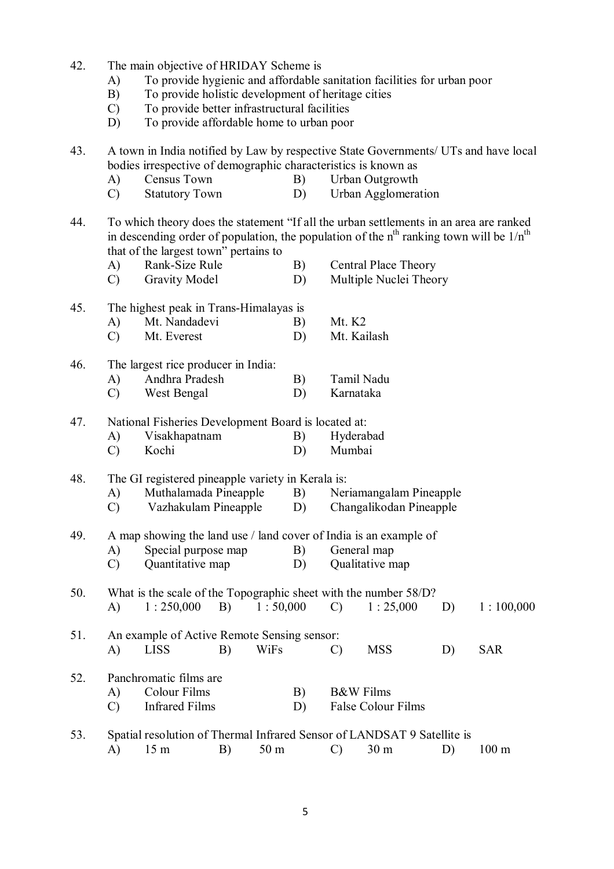| 42.                                                       | The main objective of HRIDAY Scheme is            |                                                                         |                                                                                         |                 |    |                         |                                                                         |    |                                                                                                                                                                                       |  |  |  |
|-----------------------------------------------------------|---------------------------------------------------|-------------------------------------------------------------------------|-----------------------------------------------------------------------------------------|-----------------|----|-------------------------|-------------------------------------------------------------------------|----|---------------------------------------------------------------------------------------------------------------------------------------------------------------------------------------|--|--|--|
|                                                           | A)                                                |                                                                         |                                                                                         |                 |    |                         | To provide hygienic and affordable sanitation facilities for urban poor |    |                                                                                                                                                                                       |  |  |  |
|                                                           | B)                                                | To provide holistic development of heritage cities                      |                                                                                         |                 |    |                         |                                                                         |    |                                                                                                                                                                                       |  |  |  |
|                                                           | $\mathcal{C}$                                     | To provide better infrastructural facilities                            |                                                                                         |                 |    |                         |                                                                         |    |                                                                                                                                                                                       |  |  |  |
|                                                           | D)                                                | To provide affordable home to urban poor                                |                                                                                         |                 |    |                         |                                                                         |    |                                                                                                                                                                                       |  |  |  |
| 43.                                                       |                                                   |                                                                         |                                                                                         |                 |    |                         |                                                                         |    | A town in India notified by Law by respective State Governments/ UTs and have local                                                                                                   |  |  |  |
|                                                           |                                                   | bodies irrespective of demographic characteristics is known as          |                                                                                         |                 |    |                         |                                                                         |    |                                                                                                                                                                                       |  |  |  |
|                                                           | A)                                                | Census Town                                                             |                                                                                         |                 | B) |                         | Urban Outgrowth                                                         |    |                                                                                                                                                                                       |  |  |  |
|                                                           | $\mathcal{C}$                                     | <b>Statutory Town</b>                                                   |                                                                                         |                 | D) |                         | <b>Urban Agglomeration</b>                                              |    |                                                                                                                                                                                       |  |  |  |
| 44.                                                       |                                                   | that of the largest town" pertains to                                   |                                                                                         |                 |    |                         |                                                                         |    | To which theory does the statement "If all the urban settlements in an area are ranked<br>in descending order of population, the population of the $nth$ ranking town will be $1/nth$ |  |  |  |
| Rank-Size Rule<br><b>Central Place Theory</b><br>A)<br>B) |                                                   |                                                                         |                                                                                         |                 |    |                         |                                                                         |    |                                                                                                                                                                                       |  |  |  |
|                                                           | $\mathcal{C}$                                     | <b>Gravity Model</b>                                                    |                                                                                         |                 | D) |                         | Multiple Nuclei Theory                                                  |    |                                                                                                                                                                                       |  |  |  |
| 45.                                                       | The highest peak in Trans-Himalayas is            |                                                                         |                                                                                         |                 |    |                         |                                                                         |    |                                                                                                                                                                                       |  |  |  |
|                                                           | A)                                                | Mt. Nandadevi                                                           |                                                                                         |                 | B) | Mt. K <sub>2</sub>      |                                                                         |    |                                                                                                                                                                                       |  |  |  |
|                                                           | $\mathcal{C}$                                     | Mt. Everest                                                             |                                                                                         |                 | D) |                         | Mt. Kailash                                                             |    |                                                                                                                                                                                       |  |  |  |
| 46.                                                       |                                                   | The largest rice producer in India:                                     |                                                                                         |                 |    |                         |                                                                         |    |                                                                                                                                                                                       |  |  |  |
|                                                           | A)                                                | Andhra Pradesh                                                          |                                                                                         |                 | B) |                         | Tamil Nadu                                                              |    |                                                                                                                                                                                       |  |  |  |
|                                                           | $\mathcal{C}$                                     | West Bengal                                                             |                                                                                         |                 | D) |                         | Karnataka                                                               |    |                                                                                                                                                                                       |  |  |  |
| 47.                                                       |                                                   |                                                                         |                                                                                         |                 |    |                         |                                                                         |    |                                                                                                                                                                                       |  |  |  |
|                                                           | A)                                                |                                                                         | National Fisheries Development Board is located at:<br>Visakhapatnam<br>B)<br>Hyderabad |                 |    |                         |                                                                         |    |                                                                                                                                                                                       |  |  |  |
|                                                           | $\mathcal{C}$                                     | Kochi                                                                   |                                                                                         |                 | D) | Mumbai                  |                                                                         |    |                                                                                                                                                                                       |  |  |  |
| 48.                                                       | The GI registered pineapple variety in Kerala is: |                                                                         |                                                                                         |                 |    |                         |                                                                         |    |                                                                                                                                                                                       |  |  |  |
|                                                           | A)                                                | Muthalamada Pineapple                                                   |                                                                                         |                 | B) | Neriamangalam Pineapple |                                                                         |    |                                                                                                                                                                                       |  |  |  |
|                                                           | C)                                                | Vazhakulam Pineapple                                                    |                                                                                         |                 | D) | Changalikodan Pineapple |                                                                         |    |                                                                                                                                                                                       |  |  |  |
| 49.                                                       |                                                   | A map showing the land use / land cover of India is an example of       |                                                                                         |                 |    |                         |                                                                         |    |                                                                                                                                                                                       |  |  |  |
|                                                           | A)                                                | Special purpose map                                                     |                                                                                         |                 | B) |                         | General map                                                             |    |                                                                                                                                                                                       |  |  |  |
|                                                           | $\mathcal{C}$                                     | Quantitative map                                                        |                                                                                         |                 | D) |                         | Qualitative map                                                         |    |                                                                                                                                                                                       |  |  |  |
| 50.                                                       |                                                   | What is the scale of the Topographic sheet with the number 58/D?        |                                                                                         |                 |    |                         |                                                                         |    |                                                                                                                                                                                       |  |  |  |
|                                                           | A)                                                | 1:250,000                                                               | B)                                                                                      | 1:50,000        |    | $\mathcal{C}$           | 1:25,000                                                                | D) | 1:100,000                                                                                                                                                                             |  |  |  |
| 51.                                                       |                                                   | An example of Active Remote Sensing sensor:                             |                                                                                         |                 |    |                         |                                                                         |    |                                                                                                                                                                                       |  |  |  |
|                                                           | A)                                                | <b>LISS</b>                                                             | B)                                                                                      | WiFs            |    | $\mathcal{C}$           | <b>MSS</b>                                                              | D) | <b>SAR</b>                                                                                                                                                                            |  |  |  |
| 52.                                                       |                                                   | Panchromatic films are                                                  |                                                                                         |                 |    |                         |                                                                         |    |                                                                                                                                                                                       |  |  |  |
|                                                           | A)                                                | <b>Colour Films</b>                                                     |                                                                                         |                 | B) |                         | <b>B&amp;W</b> Films                                                    |    |                                                                                                                                                                                       |  |  |  |
|                                                           | $\mathcal{C}$                                     | <b>Infrared Films</b>                                                   |                                                                                         |                 | D) |                         | False Colour Films                                                      |    |                                                                                                                                                                                       |  |  |  |
| 53.                                                       |                                                   | Spatial resolution of Thermal Infrared Sensor of LANDSAT 9 Satellite is |                                                                                         |                 |    |                         |                                                                         |    |                                                                                                                                                                                       |  |  |  |
|                                                           | A)                                                | 15 <sub>m</sub>                                                         | B)                                                                                      | 50 <sub>m</sub> |    | $\mathcal{C}$           | 30 <sub>m</sub>                                                         | D) | $100 \text{ m}$                                                                                                                                                                       |  |  |  |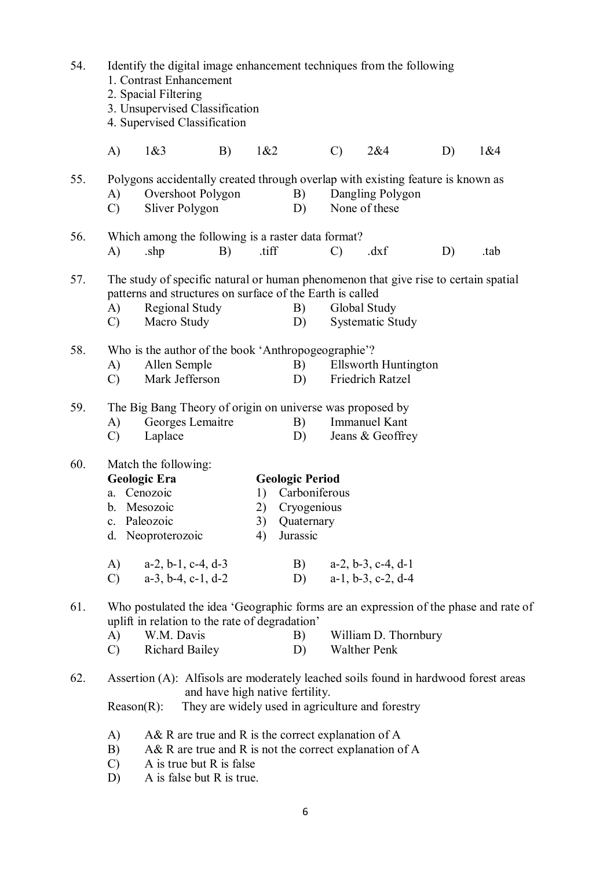| 54. | Identify the digital image enhancement techniques from the following<br>1. Contrast Enhancement<br>2. Spacial Filtering<br>3. Unsupervised Classification<br>4. Supervised Classification |                                                                                                                                                                                                                                                |                                 |                      |                                                                                        |               |                                             |    |      |  |  |  |
|-----|-------------------------------------------------------------------------------------------------------------------------------------------------------------------------------------------|------------------------------------------------------------------------------------------------------------------------------------------------------------------------------------------------------------------------------------------------|---------------------------------|----------------------|----------------------------------------------------------------------------------------|---------------|---------------------------------------------|----|------|--|--|--|
|     | A)                                                                                                                                                                                        | 1&83                                                                                                                                                                                                                                           | B)                              | 1&82                 |                                                                                        | $\mathcal{C}$ | 2&4                                         | D) | 1&84 |  |  |  |
| 55. | A)<br>$\mathcal{C}$                                                                                                                                                                       | Polygons accidentally created through overlap with existing feature is known as<br>Overshoot Polygon<br>Sliver Polygon                                                                                                                         |                                 |                      | B)<br>D)                                                                               |               | Dangling Polygon<br>None of these           |    |      |  |  |  |
| 56. | A)                                                                                                                                                                                        | Which among the following is a raster data format?<br>.shp                                                                                                                                                                                     | B)                              | .tiff                |                                                                                        | $\mathcal{C}$ | dxf                                         | D) | .tab |  |  |  |
| 57. | A)<br>$\mathcal{C}$                                                                                                                                                                       | The study of specific natural or human phenomenon that give rise to certain spatial<br>patterns and structures on surface of the Earth is called<br><b>Regional Study</b><br>Macro Study                                                       |                                 |                      | B)<br>D)                                                                               |               | Global Study<br><b>Systematic Study</b>     |    |      |  |  |  |
| 58. | A)<br>$\mathcal{C}$                                                                                                                                                                       | Who is the author of the book 'Anthropogeographie'?<br>Allen Semple<br>Mark Jefferson                                                                                                                                                          |                                 |                      | B)<br>D)                                                                               |               | Ellsworth Huntington<br>Friedrich Ratzel    |    |      |  |  |  |
| 59. | A)<br>$\mathcal{C}$                                                                                                                                                                       | The Big Bang Theory of origin on universe was proposed by<br>Georges Lemaitre<br>Laplace                                                                                                                                                       |                                 |                      | B)<br>D)                                                                               |               | <b>Immanuel Kant</b><br>Jeans & Geoffrey    |    |      |  |  |  |
| 60. | $\mathbf{c}$ .<br>d.<br>A)                                                                                                                                                                | Match the following:<br><b>Geologic Era</b><br>a. Cenozoic<br>b. Mesozoic<br>Paleozoic<br>Neoproterozoic<br>$a-2$ , $b-1$ , $c-4$ , $d-3$                                                                                                      |                                 | 1)<br>2)<br>3)<br>4) | <b>Geologic Period</b><br>Carboniferous<br>Cryogenious<br>Quaternary<br>Jurassic<br>B) |               | $a-2$ , $b-3$ , $c-4$ , $d-1$               |    |      |  |  |  |
|     | $\mathcal{C}$                                                                                                                                                                             | $a-3$ , $b-4$ , $c-1$ , $d-2$                                                                                                                                                                                                                  |                                 |                      | D)                                                                                     |               | $a-1$ , $b-3$ , $c-2$ , $d-4$               |    |      |  |  |  |
| 61. | A)<br>$\mathcal{C}$                                                                                                                                                                       | Who postulated the idea 'Geographic forms are an expression of the phase and rate of<br>uplift in relation to the rate of degradation'<br>W.M. Davis<br><b>Richard Bailey</b>                                                                  |                                 |                      | B)<br>D)                                                                               |               | William D. Thornbury<br><b>Walther Penk</b> |    |      |  |  |  |
| 62. |                                                                                                                                                                                           | Assertion (A): Alfisols are moderately leached soils found in hardwood forest areas                                                                                                                                                            | and have high native fertility. |                      |                                                                                        |               |                                             |    |      |  |  |  |
|     | A)<br>B)<br>$\mathcal{C}$<br>D)                                                                                                                                                           | They are widely used in agriculture and forestry<br>$Reason(R)$ :<br>A& R are true and R is the correct explanation of A<br>$A\&R$ are true and R is not the correct explanation of A<br>A is true but R is false<br>A is false but R is true. |                                 |                      |                                                                                        |               |                                             |    |      |  |  |  |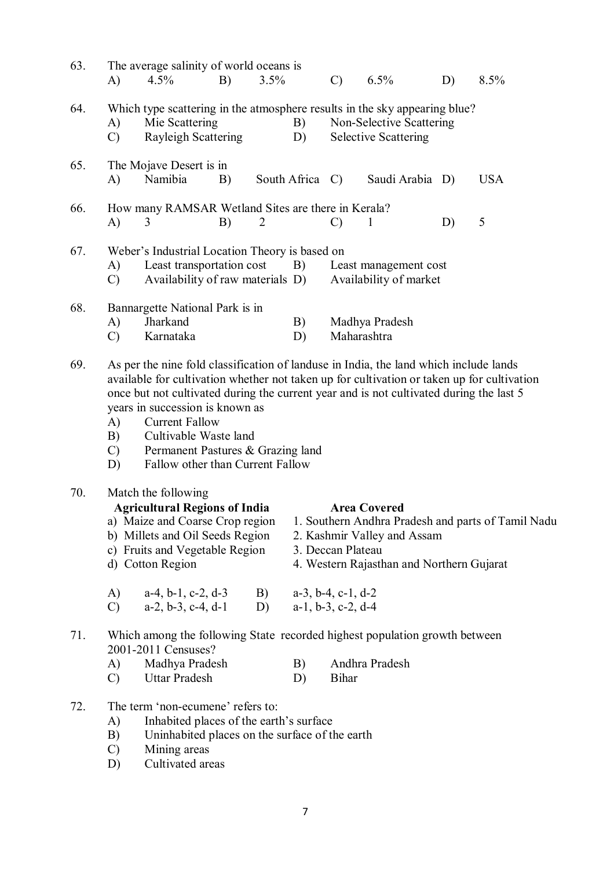| 63. | A)                                                                                                                                                                                                                                                                                                                                                                                                                                                                              | The average salinity of world oceans is<br>4.5%                                                                                                                                                                                            | B) | 3.5%           |                 | $\mathcal{C}$                 | 6.5%                                                                                            | D) | 8.5%                                               |
|-----|---------------------------------------------------------------------------------------------------------------------------------------------------------------------------------------------------------------------------------------------------------------------------------------------------------------------------------------------------------------------------------------------------------------------------------------------------------------------------------|--------------------------------------------------------------------------------------------------------------------------------------------------------------------------------------------------------------------------------------------|----|----------------|-----------------|-------------------------------|-------------------------------------------------------------------------------------------------|----|----------------------------------------------------|
| 64. | A)<br>$\mathcal{C}$                                                                                                                                                                                                                                                                                                                                                                                                                                                             | Which type scattering in the atmosphere results in the sky appearing blue?<br>Mie Scattering<br><b>Rayleigh Scattering</b>                                                                                                                 |    |                | B)<br>D)        |                               | Non-Selective Scattering<br><b>Selective Scattering</b>                                         |    |                                                    |
| 65. | A)                                                                                                                                                                                                                                                                                                                                                                                                                                                                              | The Mojave Desert is in<br>Namibia                                                                                                                                                                                                         | B) |                | South Africa C) |                               | Saudi Arabia D)                                                                                 |    | <b>USA</b>                                         |
| 66. | A)                                                                                                                                                                                                                                                                                                                                                                                                                                                                              | How many RAMSAR Wetland Sites are there in Kerala?<br>3                                                                                                                                                                                    | B) | $\overline{2}$ |                 | $\mathcal{C}$                 | $\mathbf{1}$                                                                                    | D) | 5                                                  |
| 67. | Weber's Industrial Location Theory is based on<br>Least transportation cost<br>A)<br>B)<br>Least management cost<br>Availability of raw materials D)<br>Availability of market<br>$\mathcal{C}$                                                                                                                                                                                                                                                                                 |                                                                                                                                                                                                                                            |    |                |                 |                               |                                                                                                 |    |                                                    |
| 68. | A)<br>$\mathcal{C}$                                                                                                                                                                                                                                                                                                                                                                                                                                                             | Bannargette National Park is in<br>Jharkand<br>Karnataka                                                                                                                                                                                   |    |                | B)<br>D)        | Maharashtra                   | Madhya Pradesh                                                                                  |    |                                                    |
| 69. | As per the nine fold classification of landuse in India, the land which include lands<br>available for cultivation whether not taken up for cultivation or taken up for cultivation<br>once but not cultivated during the current year and is not cultivated during the last 5<br>years in succession is known as<br><b>Current Fallow</b><br>A)<br>Cultivable Waste land<br>B)<br>Permanent Pastures & Grazing land<br>$\mathcal{C}$<br>Fallow other than Current Fallow<br>D) |                                                                                                                                                                                                                                            |    |                |                 |                               |                                                                                                 |    |                                                    |
| 70. |                                                                                                                                                                                                                                                                                                                                                                                                                                                                                 | Match the following<br><b>Agricultural Regions of India</b><br>a) Maize and Coarse Crop region<br>b) Millets and Oil Seeds Region<br>c) Fruits and Vegetable Region<br>d) Cotton Region<br>A) $a-4, b-1, c-2, d-3$ B) $a-3, b-4, c-1, d-2$ |    |                |                 | 3. Deccan Plateau             | <b>Area Covered</b><br>2. Kashmir Valley and Assam<br>4. Western Rajasthan and Northern Gujarat |    | 1. Southern Andhra Pradesh and parts of Tamil Nadu |
|     | $\mathcal{C}$ )                                                                                                                                                                                                                                                                                                                                                                                                                                                                 | $a-2, b-3, c-4, d-1$                                                                                                                                                                                                                       |    | D)             |                 | $a-1$ , $b-3$ , $c-2$ , $d-4$ |                                                                                                 |    |                                                    |
| 71. | A)<br>$\mathcal{C}$                                                                                                                                                                                                                                                                                                                                                                                                                                                             | Which among the following State recorded highest population growth between<br>2001-2011 Censuses?<br>Madhya Pradesh<br>Uttar Pradesh                                                                                                       |    |                | B)<br>D)        | <b>Bihar</b>                  | Andhra Pradesh                                                                                  |    |                                                    |
| 72. | A)<br>B)<br>$\mathcal{C}$                                                                                                                                                                                                                                                                                                                                                                                                                                                       | The term 'non-ecumene' refers to:<br>Inhabited places of the earth's surface<br>Uninhabited places on the surface of the earth<br>Mining areas                                                                                             |    |                |                 |                               |                                                                                                 |    |                                                    |

D) Cultivated areas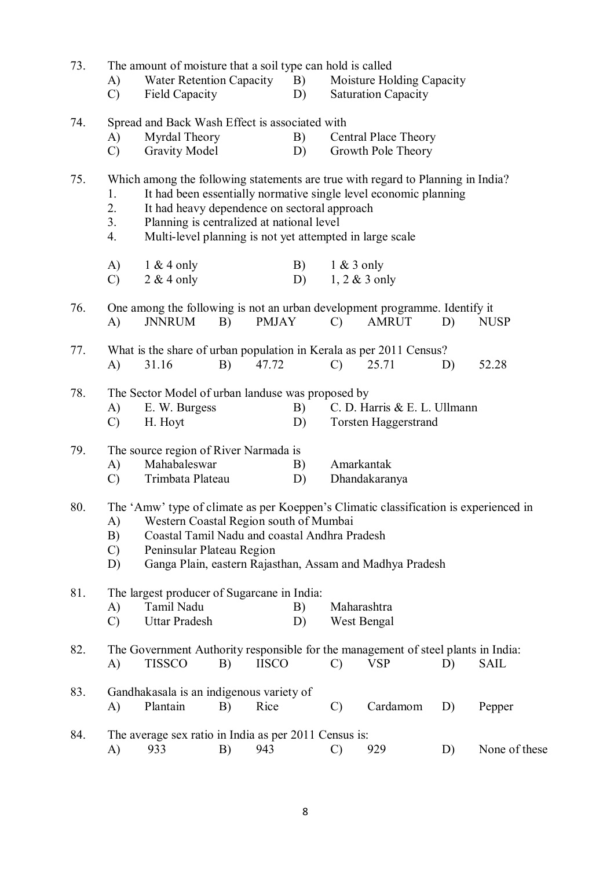| 73. | A)<br>$\mathcal{C}$             | The amount of moisture that a soil type can hold is called<br><b>Water Retention Capacity</b><br><b>Field Capacity</b>                                                                                                                   |    |              | B)<br>D) |                                                                                                              | Moisture Holding Capacity<br><b>Saturation Capacity</b>          |    |               |  |
|-----|---------------------------------|------------------------------------------------------------------------------------------------------------------------------------------------------------------------------------------------------------------------------------------|----|--------------|----------|--------------------------------------------------------------------------------------------------------------|------------------------------------------------------------------|----|---------------|--|
| 74. | A)<br>$\mathcal{C}$             | Spread and Back Wash Effect is associated with<br>Myrdal Theory<br><b>Gravity Model</b>                                                                                                                                                  |    |              | B)<br>D) |                                                                                                              | <b>Central Place Theory</b><br>Growth Pole Theory                |    |               |  |
| 75. | 1.<br>2.<br>3.<br>4.            | Which among the following statements are true with regard to Planning in India?<br>It had heavy dependence on sectoral approach<br>Planning is centralized at national level<br>Multi-level planning is not yet attempted in large scale |    |              |          |                                                                                                              | It had been essentially normative single level economic planning |    |               |  |
|     | A)<br>$\mathcal{C}$             | $1 & 4$ only<br>$2 & 4$ only                                                                                                                                                                                                             |    |              | B)<br>D) | $1 & 3$ only                                                                                                 | $1, 2 \& 3$ only                                                 |    |               |  |
| 76. | A)                              | One among the following is not an urban development programme. Identify it<br><b>JNNRUM</b>                                                                                                                                              | B) | <b>PMJAY</b> |          | $\mathcal{C}$                                                                                                | <b>AMRUT</b>                                                     | D) | <b>NUSP</b>   |  |
| 77. | A)                              | 31.16                                                                                                                                                                                                                                    | B) | 47.72        |          | What is the share of urban population in Kerala as per 2011 Census?<br>25.71<br>52.28<br>$\mathcal{C}$<br>D) |                                                                  |    |               |  |
| 78. | A)<br>$\mathcal{C}$             | The Sector Model of urban landuse was proposed by<br>E. W. Burgess<br>C. D. Harris & E. L. Ullmann<br>B)<br>H. Hoyt<br>D)<br><b>Torsten Haggerstrand</b>                                                                                 |    |              |          |                                                                                                              |                                                                  |    |               |  |
| 79. | A)<br>$\mathcal{C}$             | The source region of River Narmada is<br>Mahabaleswar<br>Trimbata Plateau                                                                                                                                                                |    |              | B)<br>D) | Amarkantak                                                                                                   | Dhandakaranya                                                    |    |               |  |
| 80. | A)<br>B)<br>$\mathcal{C}$<br>D) | The 'Amw' type of climate as per Koeppen's Climatic classification is experienced in<br>Western Coastal Region south of Mumbai<br>Coastal Tamil Nadu and coastal Andhra Pradesh<br>Peninsular Plateau Region                             |    |              |          |                                                                                                              | Ganga Plain, eastern Rajasthan, Assam and Madhya Pradesh         |    |               |  |
| 81. | A)<br>$\mathcal{C}$             | The largest producer of Sugarcane in India:<br>Tamil Nadu<br><b>Uttar Pradesh</b>                                                                                                                                                        |    |              | B)<br>D) | Maharashtra<br>West Bengal                                                                                   |                                                                  |    |               |  |
| 82. | A)                              | The Government Authority responsible for the management of steel plants in India:<br><b>TISSCO</b>                                                                                                                                       | B) | <b>IISCO</b> |          | $\mathcal{C}$                                                                                                | <b>VSP</b>                                                       | D) | <b>SAIL</b>   |  |
| 83. | A)                              | Gandhakasala is an indigenous variety of<br>Plantain                                                                                                                                                                                     | B) | Rice         |          | $\mathcal{C}$                                                                                                | Cardamom                                                         | D) | Pepper        |  |
| 84. | A)                              | The average sex ratio in India as per 2011 Census is:<br>933                                                                                                                                                                             | B) | 943          |          | $\mathcal{C}$                                                                                                | 929                                                              | D) | None of these |  |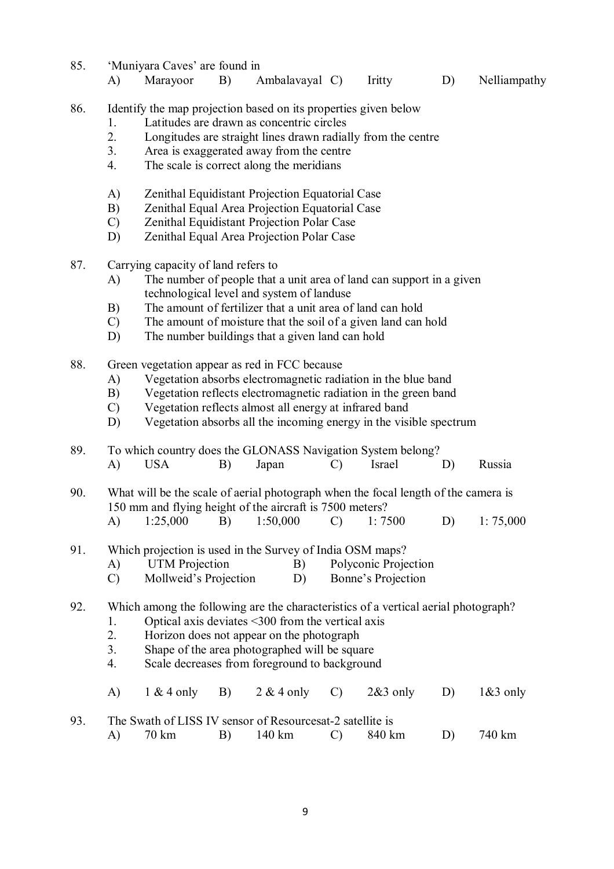- 85. 'Muniyara Caves' are found in A) Marayoor B) Ambalavayal C) Iritty D) Nelliampathy 86. Identify the map projection based on its properties given below 1. Latitudes are drawn as concentric circles 2. Longitudes are straight lines drawn radially from the centre 3. Area is exaggerated away from the centre 4. The scale is correct along the meridians A) Zenithal Equidistant Projection Equatorial Case B) Zenithal Equal Area Projection Equatorial Case C) Zenithal Equidistant Projection Polar Case D) Zenithal Equal Area Projection Polar Case 87. Carrying capacity of land refers to A) The number of people that a unit area of land can support in a given technological level and system of landuse B) The amount of fertilizer that a unit area of land can hold C) The amount of moisture that the soil of a given land can hold D) The number buildings that a given land can hold 88. Green vegetation appear as red in FCC because A) Vegetation absorbs electromagnetic radiation in the blue band B) Vegetation reflects electromagnetic radiation in the green band C) Vegetation reflects almost all energy at infrared band D) Vegetation absorbs all the incoming energy in the visible spectrum 89. To which country does the GLONASS Navigation System belong? A) USA B) Japan C) Israel D) Russia 90. What will be the scale of aerial photograph when the focal length of the camera is 150 mm and flying height of the aircraft is 7500 meters? A) 1:25,000 B) 1:50,000 C) 1: 7500 D) 1: 75,000 91. Which projection is used in the Survey of India OSM maps? A) UTM Projection B) Polyconic Projection
	- C) Mollweid's Projection D) Bonne's Projection

### 92. Which among the following are the characteristics of a vertical aerial photograph?

- 1. Optical axis deviates <300 from the vertical axis
- 2. Horizon does not appear on the photograph
- 3. Shape of the area photographed will be square
- 4. Scale decreases from foreground to background
- A) 1 & 4 only B) 2 & 4 only C) 2&3 only D) 1&3 only

| 93. | The Swath of LISS IV sensor of Resources at-2 satellite is |  |                     |           |
|-----|------------------------------------------------------------|--|---------------------|-----------|
|     | . 70 km                                                    |  | B) 140 km C) 840 km | D) 740 km |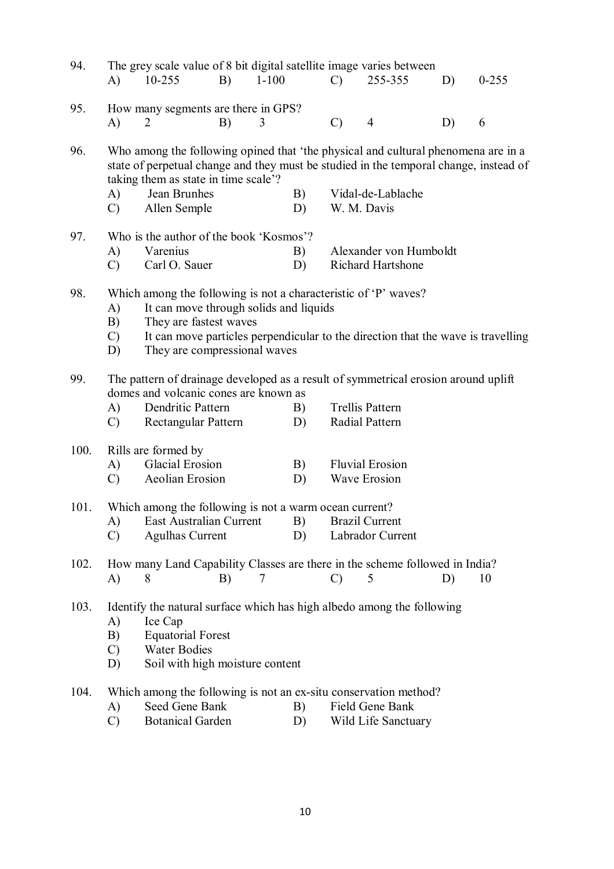| 94.  | $\bf{A}$                                                                                                                                                                                                                                                                                   | 10-255                                                                                                      | B) | $1 - 100$ |          | $\mathcal{C}$ | The grey scale value of 8 bit digital satellite image varies between<br>255-355                                                                                                                 | D) | $0 - 255$ |
|------|--------------------------------------------------------------------------------------------------------------------------------------------------------------------------------------------------------------------------------------------------------------------------------------------|-------------------------------------------------------------------------------------------------------------|----|-----------|----------|---------------|-------------------------------------------------------------------------------------------------------------------------------------------------------------------------------------------------|----|-----------|
| 95.  | A)                                                                                                                                                                                                                                                                                         | How many segments are there in GPS?<br>2                                                                    | B) | 3         |          | $\mathcal{C}$ | $\overline{4}$                                                                                                                                                                                  | D) | 6         |
| 96.  | A)<br>$\mathcal{C}$                                                                                                                                                                                                                                                                        | taking them as state in time scale'?<br>Jean Brunhes<br>Allen Semple                                        |    |           | B)<br>D) | W. M. Davis   | Who among the following opined that 'the physical and cultural phenomena are in a<br>state of perpetual change and they must be studied in the temporal change, instead of<br>Vidal-de-Lablache |    |           |
| 97.  | A)<br>$\mathcal{C}$                                                                                                                                                                                                                                                                        | Who is the author of the book 'Kosmos'?<br>Varenius<br>Carl O. Sauer                                        |    |           | B)<br>D) |               | Alexander von Humboldt<br>Richard Hartshone                                                                                                                                                     |    |           |
| 98.  | Which among the following is not a characteristic of 'P' waves?<br>A)<br>It can move through solids and liquids<br>They are fastest waves<br>B)<br>It can move particles perpendicular to the direction that the wave is travelling<br>$\mathcal{C}$<br>They are compressional waves<br>D) |                                                                                                             |    |           |          |               |                                                                                                                                                                                                 |    |           |
| 99.  | A)<br>$\mathcal{C}$                                                                                                                                                                                                                                                                        | domes and volcanic cones are known as<br>Dendritic Pattern<br>Rectangular Pattern                           |    |           | B)<br>D) |               | The pattern of drainage developed as a result of symmetrical erosion around uplift<br><b>Trellis Pattern</b><br>Radial Pattern                                                                  |    |           |
| 100. | A)<br>$\mathcal{C}$                                                                                                                                                                                                                                                                        | Rills are formed by<br>Glacial Erosion<br>Aeolian Erosion                                                   |    |           | B)<br>D) |               | <b>Fluvial Erosion</b><br><b>Wave Erosion</b>                                                                                                                                                   |    |           |
| 101. | A)<br>$\mathcal{C}$                                                                                                                                                                                                                                                                        | Which among the following is not a warm ocean current?<br>East Australian Current<br><b>Agulhas Current</b> |    |           | B)<br>D) |               | <b>Brazil Current</b><br>Labrador Current                                                                                                                                                       |    |           |
| 102. | A)                                                                                                                                                                                                                                                                                         | 8                                                                                                           | B) | 7         |          | $\mathcal{C}$ | How many Land Capability Classes are there in the scheme followed in India?<br>5                                                                                                                | D) | 10        |
| 103. | A)<br>B)<br>$\mathcal{C}$<br>D)                                                                                                                                                                                                                                                            | Ice Cap<br><b>Equatorial Forest</b><br><b>Water Bodies</b><br>Soil with high moisture content               |    |           |          |               | Identify the natural surface which has high albedo among the following                                                                                                                          |    |           |
| 104. | A)<br>$\mathcal{C}$                                                                                                                                                                                                                                                                        | Seed Gene Bank<br><b>Botanical Garden</b>                                                                   |    |           | B)<br>D) |               | Which among the following is not an ex-situ conservation method?<br>Field Gene Bank<br>Wild Life Sanctuary                                                                                      |    |           |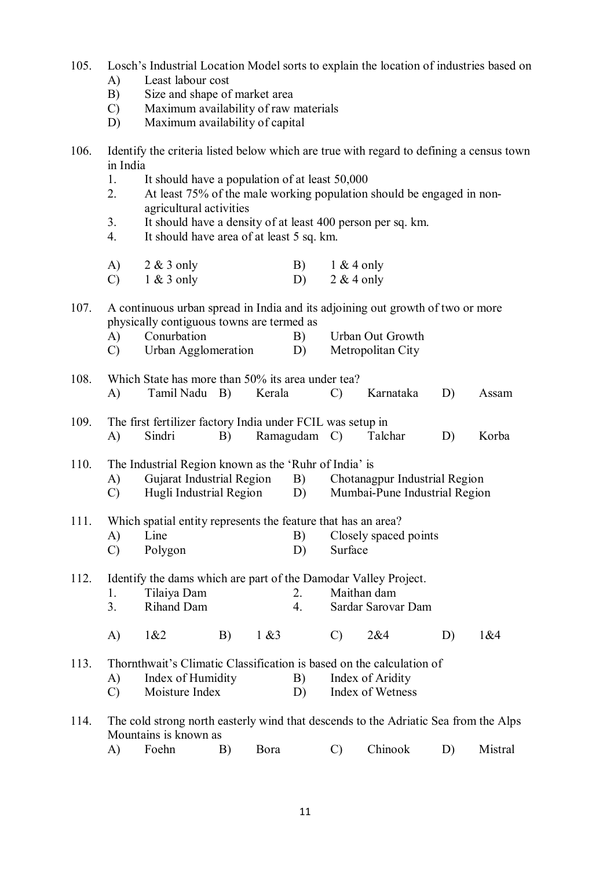- 105. Losch's Industrial Location Model sorts to explain the location of industries based on A) Least labour cost
	- B) Size and shape of market area
	- C) Maximum availability of raw materials
	- D) Maximum availability of capital
- 106. Identify the criteria listed below which are true with regard to defining a census town in India
	- 1. It should have a population of at least 50,000
	- 2. At least 75% of the male working population should be engaged in nonagricultural activities
	- 3. It should have a density of at least 400 person per sq. km.
	- 4. It should have area of at least 5 sq. km.

|               | A) $2 & 3$ only | B) $1 & 4$ only |
|---------------|-----------------|-----------------|
| $\mathcal{C}$ | $1 \& 3$ only   | $2 & 4$ only    |

107. A continuous urban spread in India and its adjoining out growth of two or more physically contiguous towns are termed as<br>A) Conurbation B)

- A) Conurbation B) Urban Out Growth
- C) Urban Agglomeration D) Metropolitan City
- 108. Which State has more than 50% its area under tea? A) Tamil Nadu B) Kerala C) Karnataka D) Assam
- 109. The first fertilizer factory India under FCIL was setup in A) Sindri B) Ramagudam C) Talchar D) Korba
- 110. The Industrial Region known as the 'Ruhr of India' is
	- A) Gujarat Industrial Region B) Chotanagpur Industrial Region
	- C) Hugli Industrial Region D) Mumbai-Pune Industrial Region

# 111. Which spatial entity represents the feature that has an area?

- A) Line B) Closely spaced points
- C) Polygon D) Surface

## 112. Identify the dams which are part of the Damodar Valley Project.

- 1. Tilaiya Dam 2. Maithan dam<br>3. Rihand Dam 4. Sardar Sarova
	- 3. Rihand Dam 4. Sardar Sarovar Dam
- A) 1&2 B) 1 &3 C) 2&4 D) 1&4
- 113. Thornthwait's Climatic Classification is based on the calculation of
	- A) Index of Humidity B) Index of Aridity
	- C) Moisture Index D) Index of Wetness
- 114. The cold strong north easterly wind that descends to the Adriatic Sea from the Alps Mountains is known as
	- A) Foehn B) Bora C) Chinook D) Mistral